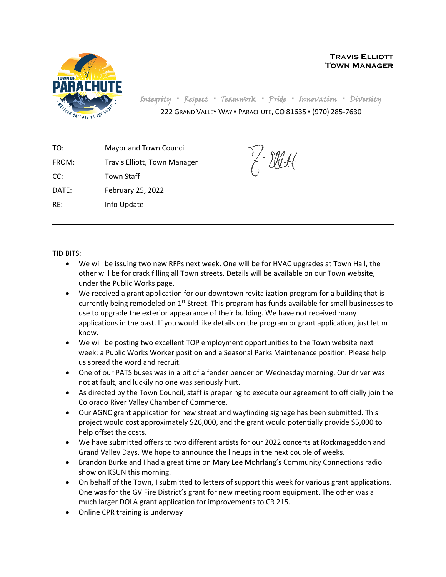

**Travis Elliott Town Manager**

Integrity **▪** Respect **▪** Teamwork **▪** Pride **▪** Innovation **▪** Diversity

Y. Ellett

222 GRAND VALLEY WAY ▪ PARACHUTE, CO 81635 ▪ (970) 285-7630

TO: Mayor and Town Council FROM: Travis Elliott, Town Manager CC: Town Staff DATE: February 25, 2022 RE: Info Update

TID BITS:

- We will be issuing two new RFPs next week. One will be for HVAC upgrades at Town Hall, the other will be for crack filling all Town streets. Details will be available on our Town website, under the Public Works page.
- We received a grant application for our downtown revitalization program for a building that is currently being remodeled on  $1<sup>st</sup>$  Street. This program has funds available for small businesses to use to upgrade the exterior appearance of their building. We have not received many applications in the past. If you would like details on the program or grant application, just let m know.
- We will be posting two excellent TOP employment opportunities to the Town website next week: a Public Works Worker position and a Seasonal Parks Maintenance position. Please help us spread the word and recruit.
- One of our PATS buses was in a bit of a fender bender on Wednesday morning. Our driver was not at fault, and luckily no one was seriously hurt.
- As directed by the Town Council, staff is preparing to execute our agreement to officially join the Colorado River Valley Chamber of Commerce.
- Our AGNC grant application for new street and wayfinding signage has been submitted. This project would cost approximately \$26,000, and the grant would potentially provide \$5,000 to help offset the costs.
- We have submitted offers to two different artists for our 2022 concerts at Rockmageddon and Grand Valley Days. We hope to announce the lineups in the next couple of weeks.
- Brandon Burke and I had a great time on Mary Lee Mohrlang's Community Connections radio show on KSUN this morning.
- On behalf of the Town, I submitted to letters of support this week for various grant applications. One was for the GV Fire District's grant for new meeting room equipment. The other was a much larger DOLA grant application for improvements to CR 215.
- Online CPR training is underway